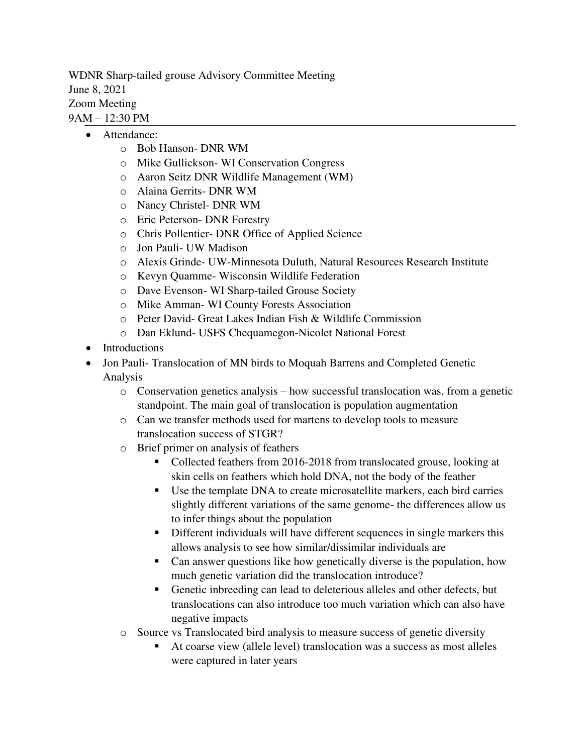WDNR Sharp-tailed grouse Advisory Committee Meeting June 8, 2021 Zoom Meeting 9AM – 12:30 PM

- Attendance:
	- o Bob Hanson- DNR WM
	- o Mike Gullickson- WI Conservation Congress
	- o Aaron Seitz DNR Wildlife Management (WM)
	- o Alaina Gerrits- DNR WM
	- o Nancy Christel- DNR WM
	- o Eric Peterson- DNR Forestry
	- o Chris Pollentier- DNR Office of Applied Science
	- o Jon Pauli- UW Madison
	- o Alexis Grinde- UW-Minnesota Duluth, Natural Resources Research Institute
	- o Kevyn Quamme- Wisconsin Wildlife Federation
	- o Dave Evenson- WI Sharp-tailed Grouse Society
	- o Mike Amman- WI County Forests Association
	- o Peter David- Great Lakes Indian Fish & Wildlife Commission
	- o Dan Eklund- USFS Chequamegon-Nicolet National Forest
- Introductions
- Jon Pauli- Translocation of MN birds to Moquah Barrens and Completed Genetic Analysis
	- o Conservation genetics analysis how successful translocation was, from a genetic standpoint. The main goal of translocation is population augmentation
	- o Can we transfer methods used for martens to develop tools to measure translocation success of STGR?
	- o Brief primer on analysis of feathers
		- Collected feathers from 2016-2018 from translocated grouse, looking at skin cells on feathers which hold DNA, not the body of the feather
		- Use the template DNA to create microsatellite markers, each bird carries slightly different variations of the same genome- the differences allow us to infer things about the population
		- Different individuals will have different sequences in single markers this allows analysis to see how similar/dissimilar individuals are
		- Can answer questions like how genetically diverse is the population, how much genetic variation did the translocation introduce?
		- Genetic inbreeding can lead to deleterious alleles and other defects, but translocations can also introduce too much variation which can also have negative impacts
	- o Source vs Translocated bird analysis to measure success of genetic diversity
		- At coarse view (allele level) translocation was a success as most alleles were captured in later years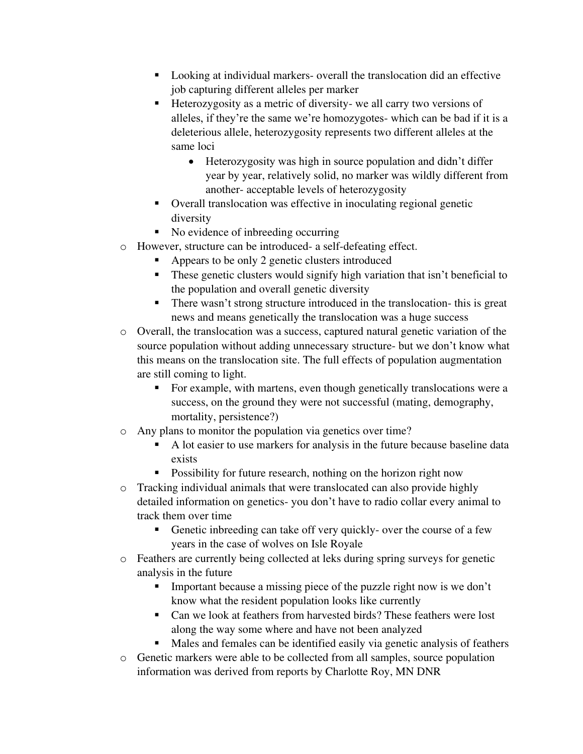- Looking at individual markers- overall the translocation did an effective job capturing different alleles per marker
- Heterozygosity as a metric of diversity- we all carry two versions of alleles, if they're the same we're homozygotes- which can be bad if it is a deleterious allele, heterozygosity represents two different alleles at the same loci
	- Heterozygosity was high in source population and didn't differ year by year, relatively solid, no marker was wildly different from another- acceptable levels of heterozygosity
- Overall translocation was effective in inoculating regional genetic diversity
- No evidence of inbreeding occurring
- o However, structure can be introduced- a self-defeating effect.
	- Appears to be only 2 genetic clusters introduced
	- **These genetic clusters would signify high variation that isn't beneficial to** the population and overall genetic diversity
	- There wasn't strong structure introduced in the translocation- this is great news and means genetically the translocation was a huge success
- o Overall, the translocation was a success, captured natural genetic variation of the source population without adding unnecessary structure- but we don't know what this means on the translocation site. The full effects of population augmentation are still coming to light.
	- For example, with martens, even though genetically translocations were a success, on the ground they were not successful (mating, demography, mortality, persistence?)
- o Any plans to monitor the population via genetics over time?
	- A lot easier to use markers for analysis in the future because baseline data exists
	- **•** Possibility for future research, nothing on the horizon right now
- o Tracking individual animals that were translocated can also provide highly detailed information on genetics- you don't have to radio collar every animal to track them over time
	- Genetic inbreeding can take off very quickly- over the course of a few years in the case of wolves on Isle Royale
- o Feathers are currently being collected at leks during spring surveys for genetic analysis in the future
	- Important because a missing piece of the puzzle right now is we don't know what the resident population looks like currently
	- Can we look at feathers from harvested birds? These feathers were lost along the way some where and have not been analyzed
	- Males and females can be identified easily via genetic analysis of feathers
- o Genetic markers were able to be collected from all samples, source population information was derived from reports by Charlotte Roy, MN DNR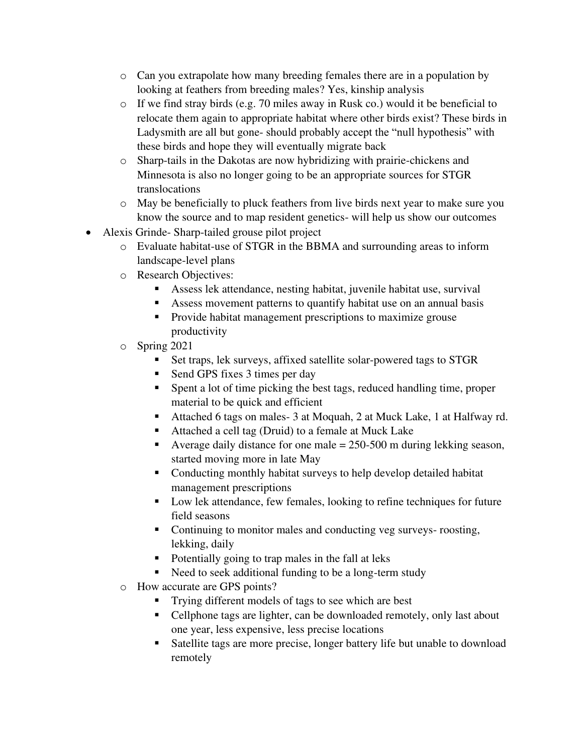- o Can you extrapolate how many breeding females there are in a population by looking at feathers from breeding males? Yes, kinship analysis
- o If we find stray birds (e.g. 70 miles away in Rusk co.) would it be beneficial to relocate them again to appropriate habitat where other birds exist? These birds in Ladysmith are all but gone- should probably accept the "null hypothesis" with these birds and hope they will eventually migrate back
- o Sharp-tails in the Dakotas are now hybridizing with prairie-chickens and Minnesota is also no longer going to be an appropriate sources for STGR translocations
- o May be beneficially to pluck feathers from live birds next year to make sure you know the source and to map resident genetics- will help us show our outcomes
- Alexis Grinde- Sharp-tailed grouse pilot project
	- o Evaluate habitat-use of STGR in the BBMA and surrounding areas to inform landscape-level plans
	- o Research Objectives:
		- Assess lek attendance, nesting habitat, juvenile habitat use, survival
		- Assess movement patterns to quantify habitat use on an annual basis
		- Provide habitat management prescriptions to maximize grouse productivity
	- o Spring 2021
		- Set traps, lek surveys, affixed satellite solar-powered tags to STGR
		- Send GPS fixes 3 times per day
		- Spent a lot of time picking the best tags, reduced handling time, proper material to be quick and efficient
		- Attached 6 tags on males 3 at Moquah, 2 at Muck Lake, 1 at Halfway rd.
		- Attached a cell tag (Druid) to a female at Muck Lake
		- E Average daily distance for one male  $= 250-500$  m during lekking season, started moving more in late May
		- Conducting monthly habitat surveys to help develop detailed habitat management prescriptions
		- Low lek attendance, few females, looking to refine techniques for future field seasons
		- Continuing to monitor males and conducting veg surveys- roosting, lekking, daily
		- Potentially going to trap males in the fall at leks
		- Need to seek additional funding to be a long-term study
	- o How accurate are GPS points?
		- Trying different models of tags to see which are best
		- Cellphone tags are lighter, can be downloaded remotely, only last about one year, less expensive, less precise locations
		- Satellite tags are more precise, longer battery life but unable to download remotely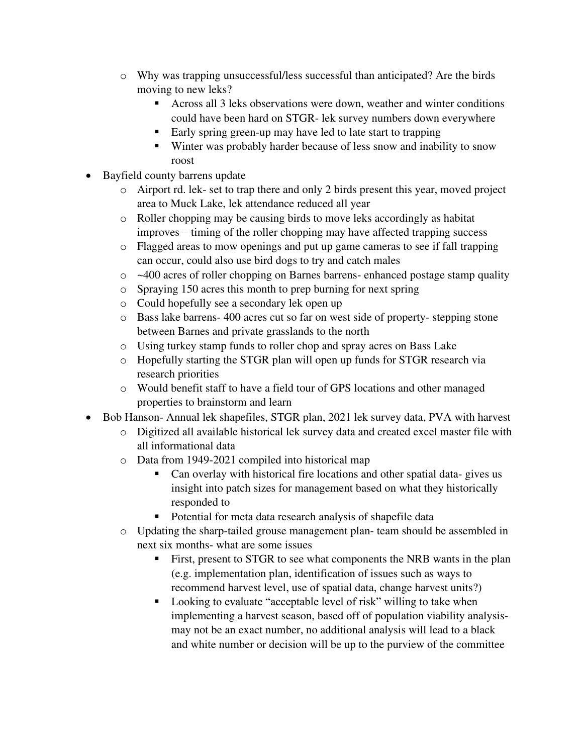- o Why was trapping unsuccessful/less successful than anticipated? Are the birds moving to new leks?
	- Across all 3 leks observations were down, weather and winter conditions could have been hard on STGR- lek survey numbers down everywhere
	- Early spring green-up may have led to late start to trapping
	- Winter was probably harder because of less snow and inability to snow roost
- Bayfield county barrens update
	- o Airport rd. lek- set to trap there and only 2 birds present this year, moved project area to Muck Lake, lek attendance reduced all year
	- o Roller chopping may be causing birds to move leks accordingly as habitat improves – timing of the roller chopping may have affected trapping success
	- o Flagged areas to mow openings and put up game cameras to see if fall trapping can occur, could also use bird dogs to try and catch males
	- o ~400 acres of roller chopping on Barnes barrens- enhanced postage stamp quality
	- o Spraying 150 acres this month to prep burning for next spring
	- o Could hopefully see a secondary lek open up
	- o Bass lake barrens- 400 acres cut so far on west side of property- stepping stone between Barnes and private grasslands to the north
	- o Using turkey stamp funds to roller chop and spray acres on Bass Lake
	- o Hopefully starting the STGR plan will open up funds for STGR research via research priorities
	- o Would benefit staff to have a field tour of GPS locations and other managed properties to brainstorm and learn
- Bob Hanson- Annual lek shapefiles, STGR plan, 2021 lek survey data, PVA with harvest
	- o Digitized all available historical lek survey data and created excel master file with all informational data
	- o Data from 1949-2021 compiled into historical map
		- Can overlay with historical fire locations and other spatial data- gives us insight into patch sizes for management based on what they historically responded to
		- Potential for meta data research analysis of shapefile data
	- o Updating the sharp-tailed grouse management plan- team should be assembled in next six months- what are some issues
		- **Example 1** First, present to STGR to see what components the NRB wants in the plan (e.g. implementation plan, identification of issues such as ways to recommend harvest level, use of spatial data, change harvest units?)
		- Looking to evaluate "acceptable level of risk" willing to take when implementing a harvest season, based off of population viability analysismay not be an exact number, no additional analysis will lead to a black and white number or decision will be up to the purview of the committee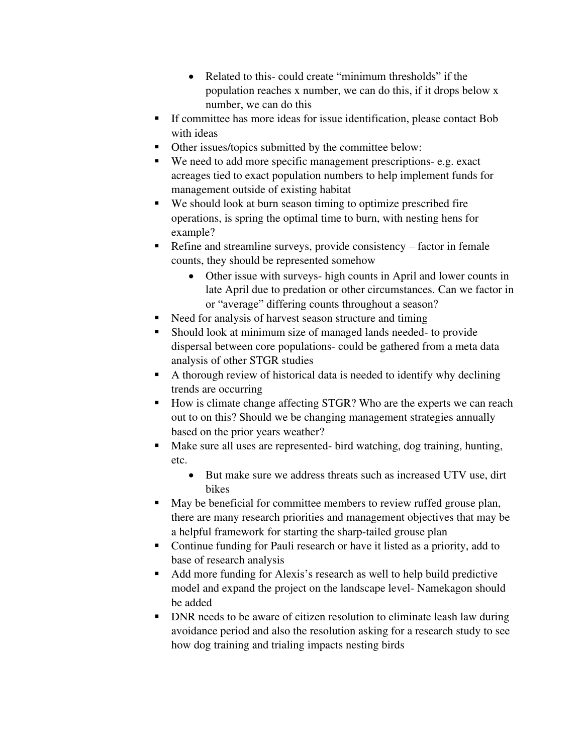- Related to this-could create "minimum thresholds" if the population reaches x number, we can do this, if it drops below x number, we can do this
- If committee has more ideas for issue identification, please contact Bob with ideas
- Other issues/topics submitted by the committee below:
- We need to add more specific management prescriptions- e.g. exact acreages tied to exact population numbers to help implement funds for management outside of existing habitat
- We should look at burn season timing to optimize prescribed fire operations, is spring the optimal time to burn, with nesting hens for example?
- Refine and streamline surveys, provide consistency factor in female counts, they should be represented somehow
	- Other issue with surveys- high counts in April and lower counts in late April due to predation or other circumstances. Can we factor in or "average" differing counts throughout a season?
- Need for analysis of harvest season structure and timing
- Should look at minimum size of managed lands needed- to provide dispersal between core populations- could be gathered from a meta data analysis of other STGR studies
- A thorough review of historical data is needed to identify why declining trends are occurring
- How is climate change affecting STGR? Who are the experts we can reach out to on this? Should we be changing management strategies annually based on the prior years weather?
- Make sure all uses are represented- bird watching, dog training, hunting, etc.
	- But make sure we address threats such as increased UTV use, dirt bikes
- May be beneficial for committee members to review ruffed grouse plan, there are many research priorities and management objectives that may be a helpful framework for starting the sharp-tailed grouse plan
- Continue funding for Pauli research or have it listed as a priority, add to base of research analysis
- Add more funding for Alexis's research as well to help build predictive model and expand the project on the landscape level- Namekagon should be added
- DNR needs to be aware of citizen resolution to eliminate leash law during avoidance period and also the resolution asking for a research study to see how dog training and trialing impacts nesting birds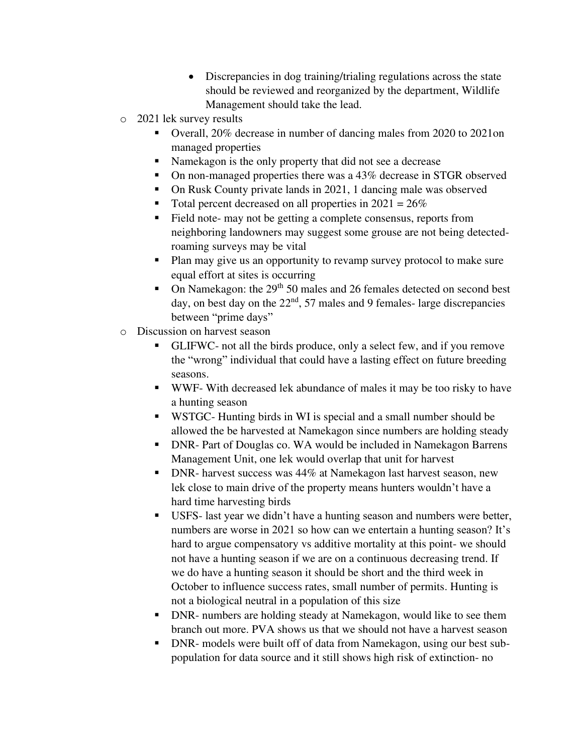- Discrepancies in dog training/trialing regulations across the state should be reviewed and reorganized by the department, Wildlife Management should take the lead.
- o 2021 lek survey results
	- Overall, 20% decrease in number of dancing males from 2020 to 2021on managed properties
	- Namekagon is the only property that did not see a decrease
	- On non-managed properties there was a 43% decrease in STGR observed
	- On Rusk County private lands in 2021, 1 dancing male was observed
	- Total percent decreased on all properties in  $2021 = 26\%$
	- Field note- may not be getting a complete consensus, reports from neighboring landowners may suggest some grouse are not being detectedroaming surveys may be vital
	- Plan may give us an opportunity to revamp survey protocol to make sure equal effort at sites is occurring
	- **•** On Namekagon: the  $29<sup>th</sup> 50$  males and 26 females detected on second best day, on best day on the  $22<sup>nd</sup>$ , 57 males and 9 females- large discrepancies between "prime days"
- o Discussion on harvest season
	- GLIFWC- not all the birds produce, only a select few, and if you remove the "wrong" individual that could have a lasting effect on future breeding seasons.
	- WWF- With decreased lek abundance of males it may be too risky to have a hunting season
	- WSTGC- Hunting birds in WI is special and a small number should be allowed the be harvested at Namekagon since numbers are holding steady
	- **DNR- Part of Douglas co. WA would be included in Namekagon Barrens** Management Unit, one lek would overlap that unit for harvest
	- DNR- harvest success was 44% at Namekagon last harvest season, new lek close to main drive of the property means hunters wouldn't have a hard time harvesting birds
	- USFS- last year we didn't have a hunting season and numbers were better, numbers are worse in 2021 so how can we entertain a hunting season? It's hard to argue compensatory vs additive mortality at this point- we should not have a hunting season if we are on a continuous decreasing trend. If we do have a hunting season it should be short and the third week in October to influence success rates, small number of permits. Hunting is not a biological neutral in a population of this size
	- **DNR- numbers are holding steady at Namekagon, would like to see them** branch out more. PVA shows us that we should not have a harvest season
	- DNR- models were built off of data from Namekagon, using our best subpopulation for data source and it still shows high risk of extinction- no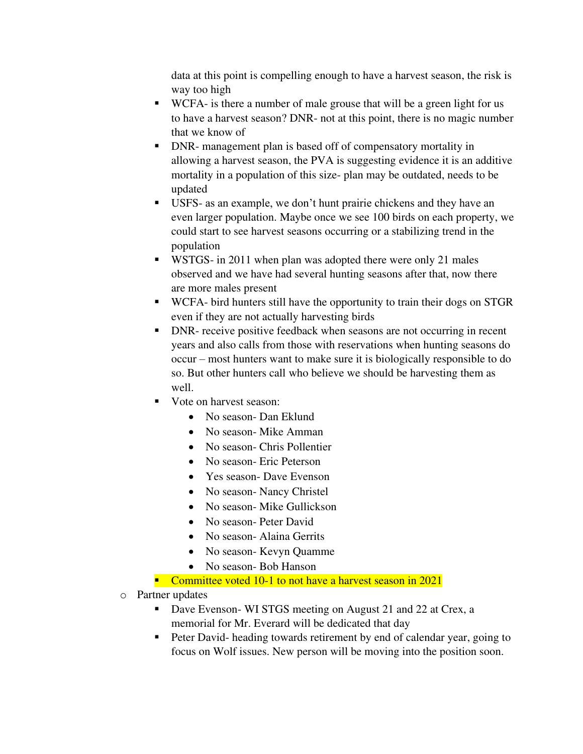data at this point is compelling enough to have a harvest season, the risk is way too high

- WCFA- is there a number of male grouse that will be a green light for us to have a harvest season? DNR- not at this point, there is no magic number that we know of
- DNR- management plan is based off of compensatory mortality in allowing a harvest season, the PVA is suggesting evidence it is an additive mortality in a population of this size- plan may be outdated, needs to be updated
- USFS- as an example, we don't hunt prairie chickens and they have an even larger population. Maybe once we see 100 birds on each property, we could start to see harvest seasons occurring or a stabilizing trend in the population
- WSTGS- in 2011 when plan was adopted there were only 21 males observed and we have had several hunting seasons after that, now there are more males present
- WCFA- bird hunters still have the opportunity to train their dogs on STGR even if they are not actually harvesting birds
- DNR- receive positive feedback when seasons are not occurring in recent years and also calls from those with reservations when hunting seasons do occur – most hunters want to make sure it is biologically responsible to do so. But other hunters call who believe we should be harvesting them as well.
- Vote on harvest season:
	- No season- Dan Eklund
	- No season- Mike Amman
	- No season- Chris Pollentier
	- No season- Eric Peterson
	- Yes season- Dave Evenson
	- No season- Nancy Christel
	- No season- Mike Gullickson
	- No season- Peter David
	- No season- Alaina Gerrits
	- No season- Kevyn Quamme
	- No season- Bob Hanson
- Committee voted 10-1 to not have a harvest season in 2021
- o Partner updates
	- Dave Evenson- WI STGS meeting on August 21 and 22 at Crex, a memorial for Mr. Everard will be dedicated that day
	- Peter David- heading towards retirement by end of calendar year, going to focus on Wolf issues. New person will be moving into the position soon.